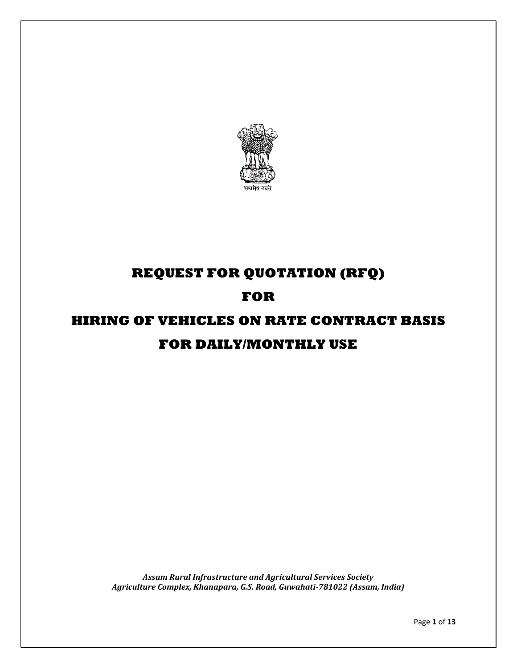

# **REQUEST FOR QUOTATION (RFQ)**

## **FOR**

# **HIRING OF VEHICLES ON RATE CONTRACT BASIS FOR DAILY/MONTHLY USE**

*Assam Rural Infrastructure and Agricultural Services Society Agriculture Complex, Khanapara, G.S. Road, Guwahati-781022 (Assam, India)*

Page **1** of **13**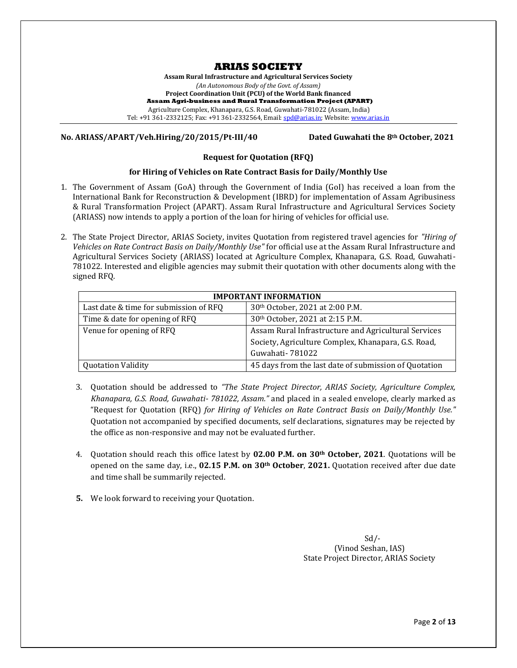## **ARIAS SOCIETY**

**Assam Rural Infrastructure and Agricultural Services Society** *(An Autonomous Body of the Govt. of Assam)*  **Project Coordination Unit (PCU) of the World Bank financed Assam Agri-business and Rural Transformation Project (APART)** Agriculture Complex, Khanapara, G.S. Road, Guwahati-781022 (Assam, India) Tel: +91 361-2332125; Fax: +91 361-2332564, Email[: spd@arias.in;](mailto:spd@arias.in) Website[: www.arias.in](http://www.arias.in/)

**No. ARIASS/APART/Veh.Hiring/20/2015/Pt-III/40 Dated Guwahati the 8th October, 2021**

#### **Request for Quotation (RFQ)**

#### **for Hiring of Vehicles on Rate Contract Basis for Daily/Monthly Use**

- 1. The Government of Assam (GoA) through the Government of India (GoI) has received a loan from the International Bank for Reconstruction & Development (IBRD) for implementation of Assam Agribusiness & Rural Transformation Project (APART). Assam Rural Infrastructure and Agricultural Services Society (ARIASS) now intends to apply a portion of the loan for hiring of vehicles for official use.
- 2. The State Project Director, ARIAS Society, invites Quotation from registered travel agencies for *"Hiring of Vehicles on Rate Contract Basis on Daily/Monthly Use"* for official use at the Assam Rural Infrastructure and Agricultural Services Society (ARIASS) located at Agriculture Complex, Khanapara, G.S. Road, Guwahati-781022. Interested and eligible agencies may submit their quotation with other documents along with the signed RFQ.

| <b>IMPORTANT INFORMATION</b>           |                                                       |  |  |  |  |
|----------------------------------------|-------------------------------------------------------|--|--|--|--|
| Last date & time for submission of RFQ | 30th October, 2021 at 2:00 P.M.                       |  |  |  |  |
| Time & date for opening of RFQ         | 30th October, 2021 at 2:15 P.M.                       |  |  |  |  |
| Venue for opening of RFQ               | Assam Rural Infrastructure and Agricultural Services  |  |  |  |  |
|                                        | Society, Agriculture Complex, Khanapara, G.S. Road,   |  |  |  |  |
|                                        | Guwahati- 781022                                      |  |  |  |  |
| <b>Quotation Validity</b>              | 45 days from the last date of submission of Quotation |  |  |  |  |

- 3. Quotation should be addressed to *"The State Project Director, ARIAS Society, Agriculture Complex, Khanapara, G.S. Road, Guwahati- 781022, Assam."* and placed in a sealed envelope, clearly marked as "Request for Quotation (RFQ) *for Hiring of Vehicles on Rate Contract Basis on Daily/Monthly Use."* Quotation not accompanied by specified documents, self declarations, signatures may be rejected by the office as non-responsive and may not be evaluated further.
- 4. Quotation should reach this office latest by **02.00 P.M. on 30th October, 2021**. Quotations will be opened on the same day, i.e., **02.15 P.M. on 30th October**, **2021.** Quotation received after due date and time shall be summarily rejected.
- **5.** We look forward to receiving your Quotation.

 Sd/- (Vinod Seshan, IAS) State Project Director, ARIAS Society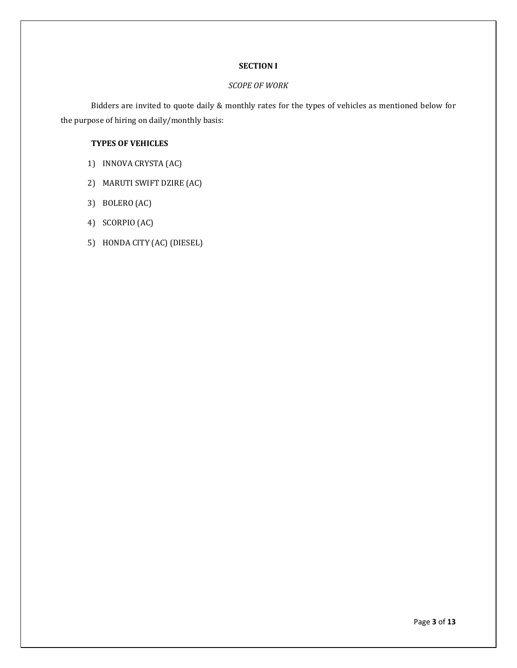## **SECTION I**

## *SCOPE OF WORK*

Bidders are invited to quote daily & monthly rates for the types of vehicles as mentioned below for the purpose of hiring on daily/monthly basis:

## **TYPES OF VEHICLES**

- 1) INNOVA CRYSTA (AC)
- 2) MARUTI SWIFT DZIRE (AC)
- 3) BOLERO (AC)
- 4) SCORPIO (AC)
- 5) HONDA CITY (AC) (DIESEL)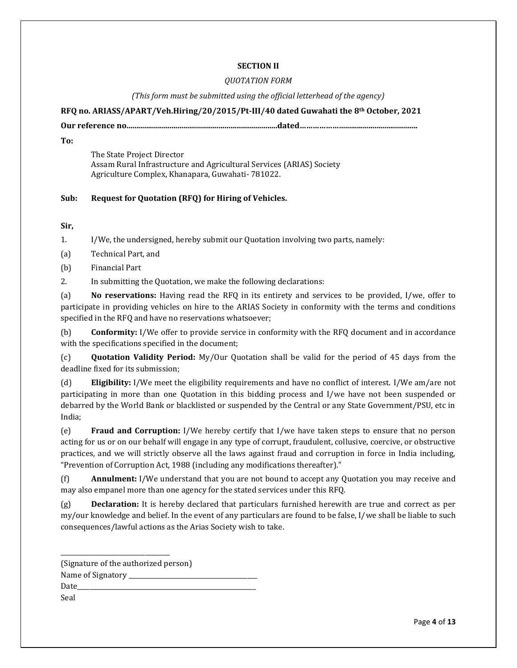## **SECTION II**

## *QUOTATION FORM*

## *(This form must be submitted using the official letterhead of the agency)*

**RFQ no. ARIASS/APART/Veh.Hiring/20/2015/Pt-III/40 dated Guwahati the 8th October, 2021**

**Our reference no.............................................................................dated………………….....................................**

**To:**

The State Project Director Assam Rural Infrastructure and Agricultural Services (ARIAS) Society Agriculture Complex, Khanapara, Guwahati- 781022.

## **Sub: Request for Quotation (RFQ) for Hiring of Vehicles.**

**Sir,** 

1. I/We, the undersigned, hereby submit our Quotation involving two parts, namely:

(a) Technical Part, and

(b) Financial Part

2. In submitting the Quotation, we make the following declarations:

(a) **No reservations:** Having read the RFQ in its entirety and services to be provided, I/we, offer to participate in providing vehicles on hire to the ARIAS Society in conformity with the terms and conditions specified in the RFQ and have no reservations whatsoever;

(b) **Conformity:** I/We offer to provide service in conformity with the RFQ document and in accordance with the specifications specified in the document;

(c) **Quotation Validity Period:** My/Our Quotation shall be valid for the period of 45 days from the deadline fixed for its submission;

(d) **Eligibility:** I/We meet the eligibility requirements and have no conflict of interest. I/We am/are not participating in more than one Quotation in this bidding process and I/we have not been suspended or debarred by the World Bank or blacklisted or suspended by the Central or any State Government/PSU, etc in India;

(e) **Fraud and Corruption:** I/We hereby certify that I/we have taken steps to ensure that no person acting for us or on our behalf will engage in any type of corrupt, fraudulent, collusive, coercive, or obstructive practices, and we will strictly observe all the laws against fraud and corruption in force in India including, "Prevention of Corruption Act, 1988 (including any modifications thereafter)."

(f) **Annulment:** I/We understand that you are not bound to accept any Quotation you may receive and may also empanel more than one agency for the stated services under this RFQ.

(g) **Declaration:** It is hereby declared that particulars furnished herewith are true and correct as per my/our knowledge and belief. In the event of any particulars are found to be false, I/we shall be liable to such consequences/lawful actions as the Arias Society wish to take.

| (Signature of the authorized person) |
|--------------------------------------|
| Name of Signatory ______             |
| Date                                 |
| Seal                                 |

\_\_\_\_\_\_\_\_\_\_\_\_\_\_\_\_\_\_\_\_\_\_\_\_\_\_\_\_\_\_\_\_\_\_\_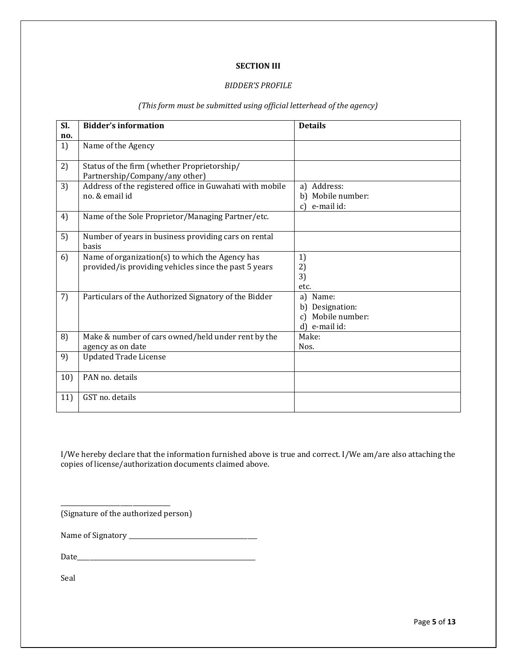## **SECTION III**

## *BIDDER'S PROFILE*

#### *(This form must be submitted using official letterhead of the agency)*

| Sl. | <b>Bidder's information</b>                                                                              | <b>Details</b>                                                          |  |  |  |
|-----|----------------------------------------------------------------------------------------------------------|-------------------------------------------------------------------------|--|--|--|
| no. |                                                                                                          |                                                                         |  |  |  |
| 1)  | Name of the Agency                                                                                       |                                                                         |  |  |  |
| 2)  | Status of the firm (whether Proprietorship/<br>Partnership/Company/any other)                            |                                                                         |  |  |  |
| 3)  | Address of the registered office in Guwahati with mobile<br>no. & email id                               | a) Address:<br>b) Mobile number:<br>c) e-mail id:                       |  |  |  |
| 4)  | Name of the Sole Proprietor/Managing Partner/etc.                                                        |                                                                         |  |  |  |
| 5)  | Number of years in business providing cars on rental<br><b>basis</b>                                     |                                                                         |  |  |  |
| 6)  | Name of organization(s) to which the Agency has<br>provided/is providing vehicles since the past 5 years | 1)<br>2)<br>3)<br>etc.                                                  |  |  |  |
| 7)  | Particulars of the Authorized Signatory of the Bidder                                                    | a) Name:<br>b) Designation:<br>Mobile number:<br>$c$ )<br>d) e-mail id: |  |  |  |
| 8)  | Make & number of cars owned/held under rent by the<br>agency as on date                                  | Make:<br>Nos.                                                           |  |  |  |
| 9)  | <b>Updated Trade License</b>                                                                             |                                                                         |  |  |  |
| 10) | PAN no. details                                                                                          |                                                                         |  |  |  |
| 11) | GST no. details                                                                                          |                                                                         |  |  |  |

I/We hereby declare that the information furnished above is true and correct. I/We am/are also attaching the copies of license/authorization documents claimed above.

(Signature of the authorized person)

\_\_\_\_\_\_\_\_\_\_\_\_\_\_\_\_\_\_\_\_\_\_\_\_\_\_\_\_\_\_\_\_\_\_\_

Name of Signatory \_\_\_\_\_\_\_\_\_\_\_\_\_\_\_\_\_\_\_\_\_\_\_\_\_\_\_\_\_\_\_\_\_\_\_\_\_\_\_\_\_

Date\_\_\_\_\_\_\_\_\_\_\_\_\_\_\_\_\_\_\_\_\_\_\_\_\_\_\_\_\_\_\_\_\_\_\_\_\_\_\_\_\_\_\_\_\_\_\_\_\_\_\_\_\_\_\_\_\_

Seal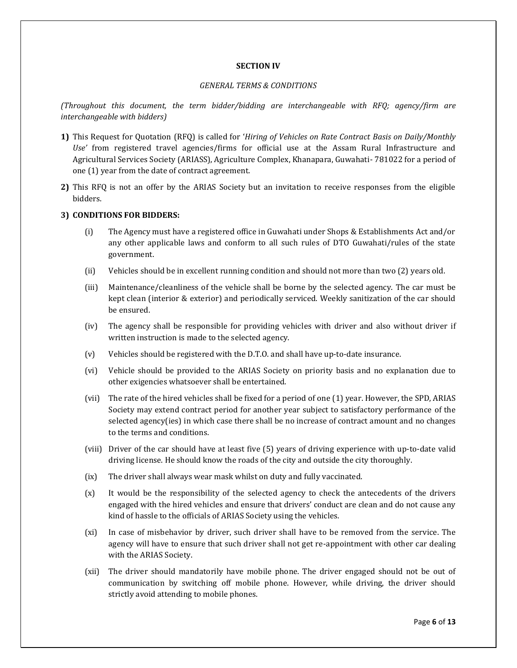#### **SECTION IV**

## *GENERAL TERMS & CONDITIONS*

*(Throughout this document, the term bidder/bidding are interchangeable with RFQ; agency/firm are interchangeable with bidders)*

- **1)** This Request for Quotation (RFQ) is called for '*Hiring of Vehicles on Rate Contract Basis on Daily/Monthly Use'* from registered travel agencies/firms for official use at the Assam Rural Infrastructure and Agricultural Services Society (ARIASS), Agriculture Complex, Khanapara, Guwahati- 781022 for a period of one (1) year from the date of contract agreement.
- **2)** This RFQ is not an offer by the ARIAS Society but an invitation to receive responses from the eligible bidders.

#### **3) CONDITIONS FOR BIDDERS:**

- (i) The Agency must have a registered office in Guwahati under Shops & Establishments Act and/or any other applicable laws and conform to all such rules of DTO Guwahati/rules of the state government.
- (ii) Vehicles should be in excellent running condition and should not more than two (2) years old.
- (iii) Maintenance/cleanliness of the vehicle shall be borne by the selected agency. The car must be kept clean (interior & exterior) and periodically serviced. Weekly sanitization of the car should be ensured.
- (iv) The agency shall be responsible for providing vehicles with driver and also without driver if written instruction is made to the selected agency.
- (v) Vehicles should be registered with the D.T.O. and shall have up-to-date insurance.
- (vi) Vehicle should be provided to the ARIAS Society on priority basis and no explanation due to other exigencies whatsoever shall be entertained.
- (vii) The rate of the hired vehicles shall be fixed for a period of one (1) year. However, the SPD, ARIAS Society may extend contract period for another year subject to satisfactory performance of the selected agency(ies) in which case there shall be no increase of contract amount and no changes to the terms and conditions.
- (viii) Driver of the car should have at least five (5) years of driving experience with up-to-date valid driving license. He should know the roads of the city and outside the city thoroughly.
- (ix) The driver shall always wear mask whilst on duty and fully vaccinated.
- (x) It would be the responsibility of the selected agency to check the antecedents of the drivers engaged with the hired vehicles and ensure that drivers' conduct are clean and do not cause any kind of hassle to the officials of ARIAS Society using the vehicles.
- (xi) In case of misbehavior by driver, such driver shall have to be removed from the service. The agency will have to ensure that such driver shall not get re-appointment with other car dealing with the ARIAS Society.
- (xii) The driver should mandatorily have mobile phone. The driver engaged should not be out of communication by switching off mobile phone. However, while driving, the driver should strictly avoid attending to mobile phones.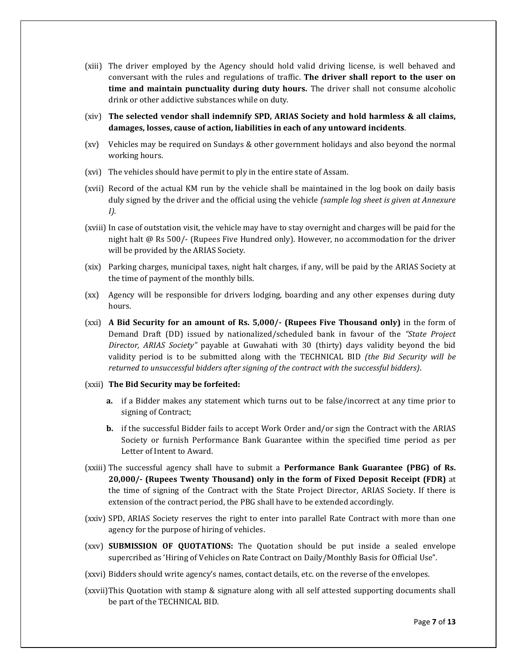- (xiii) The driver employed by the Agency should hold valid driving license, is well behaved and conversant with the rules and regulations of traffic. **The driver shall report to the user on time and maintain punctuality during duty hours.** The driver shall not consume alcoholic drink or other addictive substances while on duty.
- (xiv) **The selected vendor shall indemnify SPD, ARIAS Society and hold harmless & all claims, damages, losses, cause of action, liabilities in each of any untoward incidents**.
- (xv) Vehicles may be required on Sundays & other government holidays and also beyond the normal working hours.
- (xvi) The vehicles should have permit to ply in the entire state of Assam.
- (xvii) Record of the actual KM run by the vehicle shall be maintained in the log book on daily basis duly signed by the driver and the official using the vehicle *(sample log sheet is given at Annexure I)*.
- (xviii) In case of outstation visit, the vehicle may have to stay overnight and charges will be paid for the night halt @ Rs 500/- (Rupees Five Hundred only). However, no accommodation for the driver will be provided by the ARIAS Society.
- (xix) Parking charges, municipal taxes, night halt charges, if any, will be paid by the ARIAS Society at the time of payment of the monthly bills.
- (xx) Agency will be responsible for drivers lodging, boarding and any other expenses during duty hours.
- (xxi) **A Bid Security for an amount of Rs. 5,000/- (Rupees Five Thousand only)** in the form of Demand Draft (DD) issued by nationalized/scheduled bank in favour of the *"State Project Director, ARIAS Society"* payable at Guwahati with 30 (thirty) days validity beyond the bid validity period is to be submitted along with the TECHNICAL BID *(the Bid Security will be returned to unsuccessful bidders after signing of the contract with the successful bidders)*.
- (xxii) **The Bid Security may be forfeited:**
	- **a.** if a Bidder makes any statement which turns out to be false/incorrect at any time prior to signing of Contract;
	- **b.** if the successful Bidder fails to accept Work Order and/or sign the Contract with the ARIAS Society or furnish Performance Bank Guarantee within the specified time period as per Letter of Intent to Award.
- (xxiii) The successful agency shall have to submit a **Performance Bank Guarantee (PBG) of Rs. 20,000/- (Rupees Twenty Thousand) only in the form of Fixed Deposit Receipt (FDR)** at the time of signing of the Contract with the State Project Director, ARIAS Society. If there is extension of the contract period, the PBG shall have to be extended accordingly.
- (xxiv) SPD, ARIAS Society reserves the right to enter into parallel Rate Contract with more than one agency for the purpose of hiring of vehicles.
- (xxv) **SUBMISSION OF QUOTATIONS:** The Quotation should be put inside a sealed envelope supercribed as 'Hiring of Vehicles on Rate Contract on Daily/Monthly Basis for Official Use".
- (xxvi) Bidders should write agency's names, contact details, etc. on the reverse of the envelopes.
- (xxvii)This Quotation with stamp & signature along with all self attested supporting documents shall be part of the TECHNICAL BID.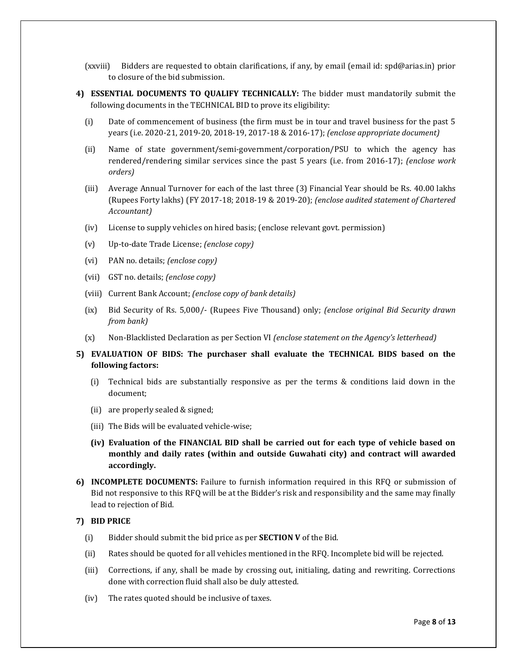- (xxviii) Bidders are requested to obtain clarifications, if any, by email (email id: spd@arias.in) prior to closure of the bid submission.
- **4) ESSENTIAL DOCUMENTS TO QUALIFY TECHNICALLY:** The bidder must mandatorily submit the following documents in the TECHNICAL BID to prove its eligibility:
	- (i) Date of commencement of business (the firm must be in tour and travel business for the past 5 years (i.e. 2020-21, 2019-20, 2018-19, 2017-18 & 2016-17); *(enclose appropriate document)*
	- (ii) Name of state government/semi-government/corporation/PSU to which the agency has rendered/rendering similar services since the past 5 years (i.e. from 2016-17); *(enclose work orders)*
	- (iii) Average Annual Turnover for each of the last three (3) Financial Year should be Rs. 40.00 lakhs (Rupees Forty lakhs) (FY 2017-18; 2018-19 & 2019-20); *(enclose audited statement of Chartered Accountant)*
	- (iv) License to supply vehicles on hired basis; (enclose relevant govt. permission)
	- (v) Up-to-date Trade License; *(enclose copy)*
	- (vi) PAN no. details; *(enclose copy)*
	- (vii) GST no. details; *(enclose copy)*
	- (viii) Current Bank Account; *(enclose copy of bank details)*
	- (ix) Bid Security of Rs. 5,000/- (Rupees Five Thousand) only; *(enclose original Bid Security drawn from bank)*
	- (x) Non-Blacklisted Declaration as per Section VI *(enclose statement on the Agency's letterhead)*
- **5) EVALUATION OF BIDS: The purchaser shall evaluate the TECHNICAL BIDS based on the following factors:**
	- (i) Technical bids are substantially responsive as per the terms & conditions laid down in the document;
	- (ii) are properly sealed & signed;
	- (iii) The Bids will be evaluated vehicle-wise;
	- **(iv) Evaluation of the FINANCIAL BID shall be carried out for each type of vehicle based on monthly and daily rates (within and outside Guwahati city) and contract will awarded accordingly.**
- **6) INCOMPLETE DOCUMENTS:** Failure to furnish information required in this RFQ or submission of Bid not responsive to this RFQ will be at the Bidder's risk and responsibility and the same may finally lead to rejection of Bid.

#### **7) BID PRICE**

- (i) Bidder should submit the bid price as per **SECTION V** of the Bid.
- (ii) Rates should be quoted for all vehicles mentioned in the RFQ. Incomplete bid will be rejected.
- (iii) Corrections, if any, shall be made by crossing out, initialing, dating and rewriting. Corrections done with correction fluid shall also be duly attested.
- (iv) The rates quoted should be inclusive of taxes.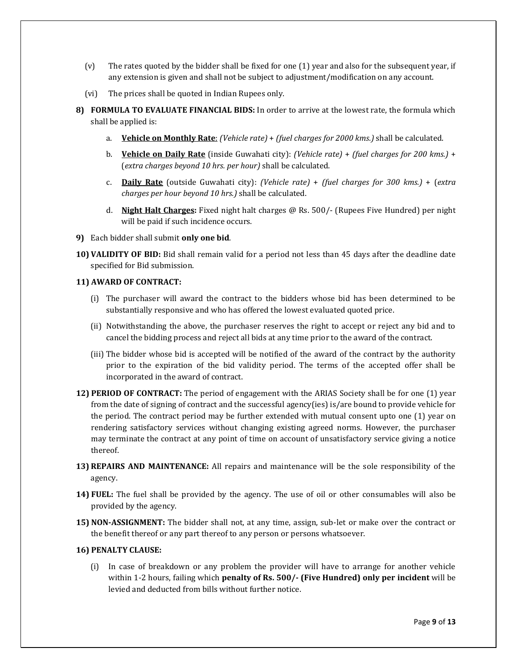- (v) The rates quoted by the bidder shall be fixed for one (1) year and also for the subsequent year, if any extension is given and shall not be subject to adjustment/modification on any account.
- (vi) The prices shall be quoted in Indian Rupees only.
- **8) FORMULA TO EVALUATE FINANCIAL BIDS:** In order to arrive at the lowest rate, the formula which shall be applied is:
	- a. **Vehicle on Monthly Rate**: *(Vehicle rate)* + *(fuel charges for 2000 kms.)* shall be calculated.
	- b. **Vehicle on Daily Rate** (inside Guwahati city): *(Vehicle rate)* + *(fuel charges for 200 kms.)* + (*extra charges beyond 10 hrs. per hour)* shall be calculated.
	- c. **Daily Rate** (outside Guwahati city): *(Vehicle rate)* + *(fuel charges for 300 kms.)* + (*extra charges per hour beyond 10 hrs.)* shall be calculated.
	- d. **Night Halt Charges:** Fixed night halt charges @ Rs. 500/- (Rupees Five Hundred) per night will be paid if such incidence occurs.
- **9)** Each bidder shall submit **only one bid**.
- **10) VALIDITY OF BID:** Bid shall remain valid for a period not less than 45 days after the deadline date specified for Bid submission.

#### **11) AWARD OF CONTRACT:**

- (i) The purchaser will award the contract to the bidders whose bid has been determined to be substantially responsive and who has offered the lowest evaluated quoted price.
- (ii) Notwithstanding the above, the purchaser reserves the right to accept or reject any bid and to cancel the bidding process and reject all bids at any time prior to the award of the contract.
- (iii) The bidder whose bid is accepted will be notified of the award of the contract by the authority prior to the expiration of the bid validity period. The terms of the accepted offer shall be incorporated in the award of contract.
- **12) PERIOD OF CONTRACT:** The period of engagement with the ARIAS Society shall be for one (1) year from the date of signing of contract and the successful agency(ies) is/are bound to provide vehicle for the period. The contract period may be further extended with mutual consent upto one (1) year on rendering satisfactory services without changing existing agreed norms. However, the purchaser may terminate the contract at any point of time on account of unsatisfactory service giving a notice thereof.
- **13) REPAIRS AND MAINTENANCE:** All repairs and maintenance will be the sole responsibility of the agency.
- **14) FUEL:** The fuel shall be provided by the agency. The use of oil or other consumables will also be provided by the agency.
- **15) NON-ASSIGNMENT:** The bidder shall not, at any time, assign, sub-let or make over the contract or the benefit thereof or any part thereof to any person or persons whatsoever.

#### **16) PENALTY CLAUSE:**

(i) In case of breakdown or any problem the provider will have to arrange for another vehicle within 1-2 hours, failing which **penalty of Rs. 500/- (Five Hundred) only per incident** will be levied and deducted from bills without further notice.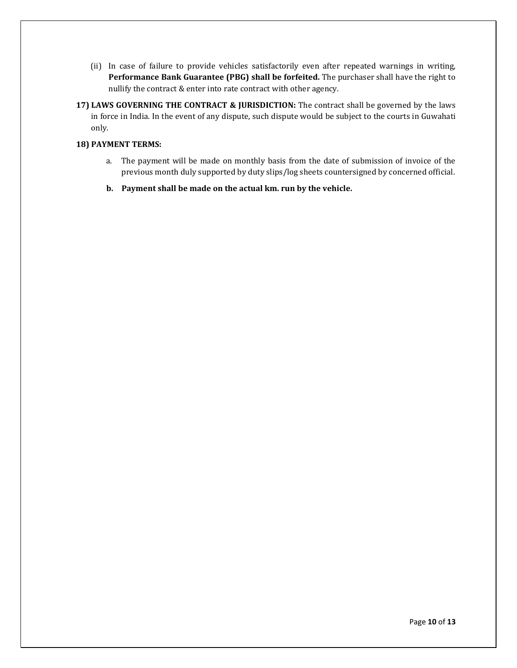- (ii) In case of failure to provide vehicles satisfactorily even after repeated warnings in writing, **Performance Bank Guarantee (PBG) shall be forfeited.** The purchaser shall have the right to nullify the contract & enter into rate contract with other agency.
- **17) LAWS GOVERNING THE CONTRACT & JURISDICTION:** The contract shall be governed by the laws in force in India. In the event of any dispute, such dispute would be subject to the courts in Guwahati only.

## **18) PAYMENT TERMS:**

- a. The payment will be made on monthly basis from the date of submission of invoice of the previous month duly supported by duty slips/log sheets countersigned by concerned official.
- **b. Payment shall be made on the actual km. run by the vehicle.**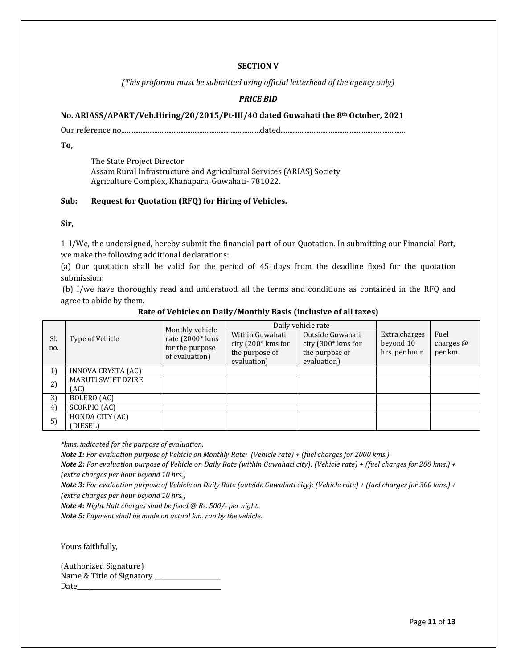#### **SECTION V**

*(This proforma must be submitted using official letterhead of the agency only)*

## *PRICE BID*

#### **No. ARIASS/APART/Veh.Hiring/20/2015/Pt-III/40 dated Guwahati the 8th October, 2021**

Our reference no................................................................................dated........................................................................

**To,**

The State Project Director Assam Rural Infrastructure and Agricultural Services (ARIAS) Society Agriculture Complex, Khanapara, Guwahati- 781022.

#### **Sub: Request for Quotation (RFQ) for Hiring of Vehicles.**

**Sir,** 

1. I/We, the undersigned, hereby submit the financial part of our Quotation. In submitting our Financial Part, we make the following additional declarations:

(a) Our quotation shall be valid for the period of 45 days from the deadline fixed for the quotation submission;

(b) I/we have thoroughly read and understood all the terms and conditions as contained in the RFQ and agree to abide by them.

| Sl.<br>no. | Type of Vehicle           | Monthly vehicle<br>rate $(2000*$ kms<br>for the purpose<br>of evaluation) |                                                         | Daily vehicle rate                                         |                                             |                               |
|------------|---------------------------|---------------------------------------------------------------------------|---------------------------------------------------------|------------------------------------------------------------|---------------------------------------------|-------------------------------|
|            |                           |                                                                           | Within Guwahati<br>city (200* kms for<br>the purpose of | Outside Guwahati<br>city $(300*$ kms for<br>the purpose of | Extra charges<br>beyond 10<br>hrs. per hour | Fuel<br>charges $@$<br>per km |
|            |                           |                                                                           | evaluation)                                             | evaluation)                                                |                                             |                               |
| 1)         | INNOVA CRYSTA (AC)        |                                                                           |                                                         |                                                            |                                             |                               |
| 2)         | <b>MARUTI SWIFT DZIRE</b> |                                                                           |                                                         |                                                            |                                             |                               |
|            | (AC)                      |                                                                           |                                                         |                                                            |                                             |                               |
| 3)         | BOLERO (AC)               |                                                                           |                                                         |                                                            |                                             |                               |
| 4)         | SCORPIO (AC)              |                                                                           |                                                         |                                                            |                                             |                               |
| 5)         | HONDA CITY (AC)           |                                                                           |                                                         |                                                            |                                             |                               |
|            | (DIESEL)                  |                                                                           |                                                         |                                                            |                                             |                               |

#### **Rate of Vehicles on Daily/Monthly Basis (inclusive of all taxes)**

*\*kms. indicated for the purpose of evaluation.*

*Note 1: For evaluation purpose of Vehicle on Monthly Rate: (Vehicle rate) + (fuel charges for 2000 kms.)*

*Note 2: For evaluation purpose of Vehicle on Daily Rate (within Guwahati city): (Vehicle rate) + (fuel charges for 200 kms.) + (extra charges per hour beyond 10 hrs.)*

*Note 3: For evaluation purpose of Vehicle on Daily Rate (outside Guwahati city): (Vehicle rate) + (fuel charges for 300 kms.) + (extra charges per hour beyond 10 hrs.)*

*Note 4: Night Halt charges shall be fixed @ Rs. 500/- per night.*

*Note 5: Payment shall be made on actual km. run by the vehicle.*

Yours faithfully,

(Authorized Signature) Name & Title of Signatory \_\_\_\_\_\_\_\_\_\_\_\_\_\_\_\_\_\_\_\_\_ Date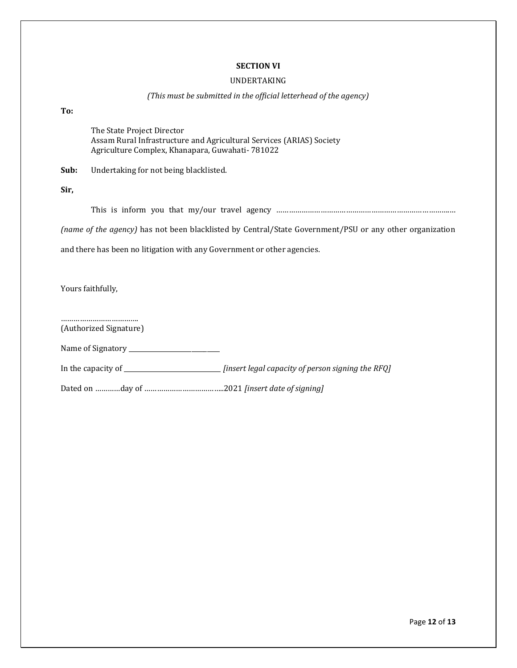## **SECTION VI**

#### UNDERTAKING

## *(This must be submitted in the official letterhead of the agency)*

**To:**

The State Project Director Assam Rural Infrastructure and Agricultural Services (ARIAS) Society Agriculture Complex, Khanapara, Guwahati- 781022

**Sub:** Undertaking for not being blacklisted.

**Sir,**

This is inform you that my/our travel agency ……………………………………………………………………………………………

*(name of the agency)* has not been blacklisted by Central/State Government/PSU or any other organization

and there has been no litigation with any Government or other agencies.

Yours faithfully,

………………………………. (Authorized Signature)

Name of Signatory \_\_\_\_\_\_\_\_\_\_\_\_\_\_\_\_\_\_\_\_\_\_\_\_\_\_\_\_\_

In the capacity of \_\_\_\_\_\_\_\_\_\_\_\_\_\_\_\_\_\_\_\_\_\_\_\_\_\_\_\_\_\_\_ *[insert legal capacity of person signing the RFQ]*

Dated on …………day of ………………………………..2021 *[insert date of signing]*